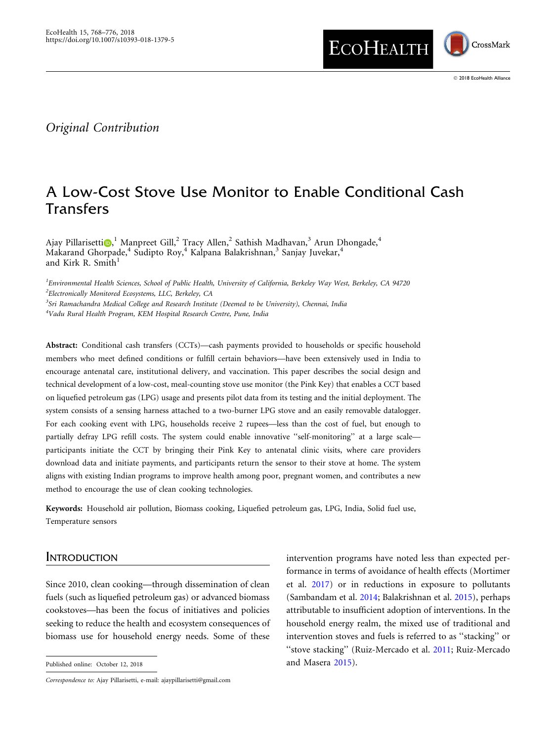

## Original Contribution

# A Low-Cost Stove Use Monitor to Enable Conditional Cash Transfers

Ajay Pillarisetti $\textbf{O,}^{1}$  Manpreet Gill, $^{2}$  Tracy Allen, $^{2}$  Sathish Madhavan, $^{3}$  Arun Dhongade, $^{4}$ Makarand Ghorpade,<sup>4</sup> Sudipto Roy,<sup>4</sup> Kalpana Balakrishnan,<sup>3</sup> Sanjay Juvekar,<sup>4</sup> and Kirk R. Smith $1$ 

<sup>1</sup> Environmental Health Sciences, School of Public Health, University of California, Berkeley Way West, Berkeley, CA 94720 <sup>2</sup>Electronically Monitored Ecosystems, LLC, Berkeley, CA

<sup>3</sup>Sri Ramachandra Medical College and Research Institute (Deemed to be University), Chennai, India 4 Vadu Rural Health Program, KEM Hospital Research Centre, Pune, India

Abstract: Conditional cash transfers (CCTs)—cash payments provided to households or specific household members who meet defined conditions or fulfill certain behaviors—have been extensively used in India to encourage antenatal care, institutional delivery, and vaccination. This paper describes the social design and technical development of a low-cost, meal-counting stove use monitor (the Pink Key) that enables a CCT based on liquefied petroleum gas (LPG) usage and presents pilot data from its testing and the initial deployment. The system consists of a sensing harness attached to a two-burner LPG stove and an easily removable datalogger. For each cooking event with LPG, households receive 2 rupees—less than the cost of fuel, but enough to partially defray LPG refill costs. The system could enable innovative "self-monitoring" at a large scaleparticipants initiate the CCT by bringing their Pink Key to antenatal clinic visits, where care providers download data and initiate payments, and participants return the sensor to their stove at home. The system aligns with existing Indian programs to improve health among poor, pregnant women, and contributes a new method to encourage the use of clean cooking technologies.

Keywords: Household air pollution, Biomass cooking, Liquefied petroleum gas, LPG, India, Solid fuel use, Temperature sensors

#### **INTRODUCTION**

Since 2010, clean cooking—through dissemination of clean fuels (such as liquefied petroleum gas) or advanced biomass cookstoves—has been the focus of initiatives and policies seeking to reduce the health and ecosystem consequences of biomass use for household energy needs. Some of these

Published online: October 12, 2018 and Masera [2015\)](#page-8-0).

intervention programs have noted less than expected performance in terms of avoidance of health effects (Mortimer et al. [2017](#page-8-0)) or in reductions in exposure to pollutants (Sambandam et al. [2014;](#page-8-0) Balakrishnan et al. [2015\)](#page-7-0), perhaps attributable to insufficient adoption of interventions. In the household energy realm, the mixed use of traditional and intervention stoves and fuels is referred to as ''stacking'' or "stove stacking" (Ruiz-Mercado et al. [2011;](#page-8-0) Ruiz-Mercado

Correspondence to: Ajay Pillarisetti, e-mail: ajaypillarisetti@gmail.com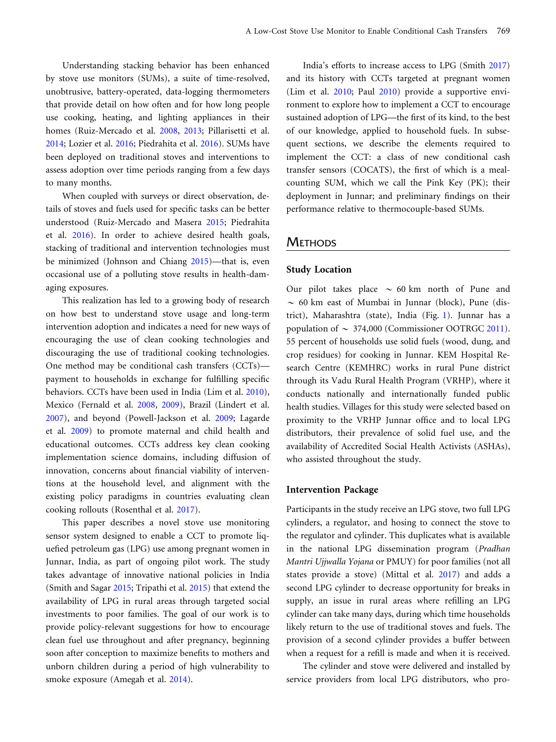Understanding stacking behavior has been enhanced by stove use monitors (SUMs), a suite of time-resolved, unobtrusive, battery-operated, data-logging thermometers that provide detail on how often and for how long people use cooking, heating, and lighting appliances in their homes (Ruiz-Mercado et al. [2008,](#page-8-0) [2013;](#page-8-0) Pillarisetti et al. [2014](#page-8-0); Lozier et al. [2016;](#page-8-0) Piedrahita et al. [2016](#page-8-0)). SUMs have been deployed on traditional stoves and interventions to assess adoption over time periods ranging from a few days to many months.

When coupled with surveys or direct observation, details of stoves and fuels used for specific tasks can be better understood (Ruiz-Mercado and Masera [2015](#page-8-0); Piedrahita et al. [2016](#page-8-0)). In order to achieve desired health goals, stacking of traditional and intervention technologies must be minimized (Johnson and Chiang [2015](#page-8-0))—that is, even occasional use of a polluting stove results in health-damaging exposures.

This realization has led to a growing body of research on how best to understand stove usage and long-term intervention adoption and indicates a need for new ways of encouraging the use of clean cooking technologies and discouraging the use of traditional cooking technologies. One method may be conditional cash transfers (CCTs) payment to households in exchange for fulfilling specific behaviors. CCTs have been used in India (Lim et al. [2010\)](#page-8-0), Mexico (Fernald et al. [2008,](#page-8-0) [2009\)](#page-8-0), Brazil (Lindert et al. [2007](#page-8-0)), and beyond (Powell-Jackson et al. [2009;](#page-8-0) Lagarde et al. [2009\)](#page-8-0) to promote maternal and child health and educational outcomes. CCTs address key clean cooking implementation science domains, including diffusion of innovation, concerns about financial viability of interventions at the household level, and alignment with the existing policy paradigms in countries evaluating clean cooking rollouts (Rosenthal et al. [2017](#page-8-0)).

This paper describes a novel stove use monitoring sensor system designed to enable a CCT to promote liquefied petroleum gas (LPG) use among pregnant women in Junnar, India, as part of ongoing pilot work. The study takes advantage of innovative national policies in India (Smith and Sagar [2015](#page-8-0); Tripathi et al. [2015](#page-8-0)) that extend the availability of LPG in rural areas through targeted social investments to poor families. The goal of our work is to provide policy-relevant suggestions for how to encourage clean fuel use throughout and after pregnancy, beginning soon after conception to maximize benefits to mothers and unborn children during a period of high vulnerability to smoke exposure (Amegah et al. [2014](#page-7-0)).

India's efforts to increase access to LPG (Smith [2017](#page-8-0)) and its history with CCTs targeted at pregnant women (Lim et al. [2010](#page-8-0); Paul [2010](#page-8-0)) provide a supportive environment to explore how to implement a CCT to encourage sustained adoption of LPG—the first of its kind, to the best of our knowledge, applied to household fuels. In subsequent sections, we describe the elements required to implement the CCT: a class of new conditional cash transfer sensors (COCATS), the first of which is a mealcounting SUM, which we call the Pink Key (PK); their deployment in Junnar; and preliminary findings on their performance relative to thermocouple-based SUMs.

## **METHODS**

#### Study Location

Our pilot takes place  $\sim$  60 km north of Pune and  $\sim$  60 km east of Mumbai in Junnar (block), Pune (district), Maharashtra (state), India (Fig. [1](#page-2-0)). Junnar has a population of  $\sim 374,000$  (Commissioner OOTRGC [2011\)](#page-8-0). 55 percent of households use solid fuels (wood, dung, and crop residues) for cooking in Junnar. KEM Hospital Research Centre (KEMHRC) works in rural Pune district through its Vadu Rural Health Program (VRHP), where it conducts nationally and internationally funded public health studies. Villages for this study were selected based on proximity to the VRHP Junnar office and to local LPG distributors, their prevalence of solid fuel use, and the availability of Accredited Social Health Activists (ASHAs), who assisted throughout the study.

#### Intervention Package

Participants in the study receive an LPG stove, two full LPG cylinders, a regulator, and hosing to connect the stove to the regulator and cylinder. This duplicates what is available in the national LPG dissemination program (Pradhan Mantri Ujjwalla Yojana or PMUY) for poor families (not all states provide a stove) (Mittal et al. [2017\)](#page-8-0) and adds a second LPG cylinder to decrease opportunity for breaks in supply, an issue in rural areas where refilling an LPG cylinder can take many days, during which time households likely return to the use of traditional stoves and fuels. The provision of a second cylinder provides a buffer between when a request for a refill is made and when it is received.

The cylinder and stove were delivered and installed by service providers from local LPG distributors, who pro-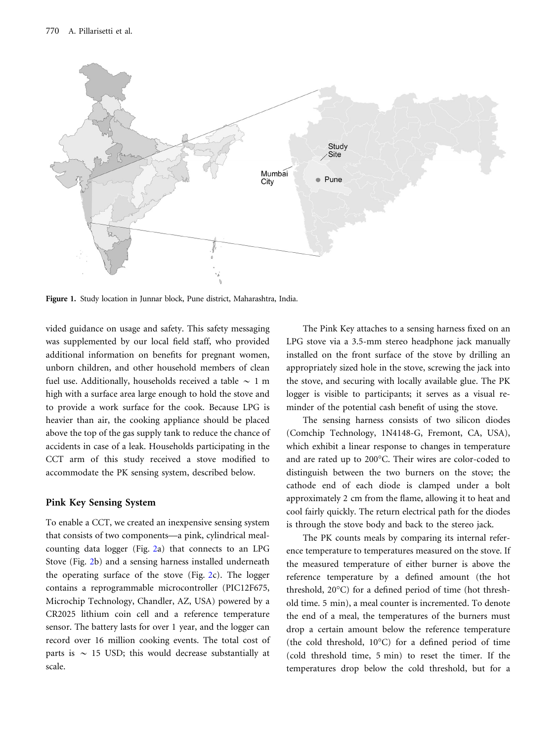<span id="page-2-0"></span>

Figure 1. Study location in Junnar block, Pune district, Maharashtra, India.

vided guidance on usage and safety. This safety messaging was supplemented by our local field staff, who provided additional information on benefits for pregnant women, unborn children, and other household members of clean fuel use. Additionally, households received a table  $\sim 1$  m high with a surface area large enough to hold the stove and to provide a work surface for the cook. Because LPG is heavier than air, the cooking appliance should be placed above the top of the gas supply tank to reduce the chance of accidents in case of a leak. Households participating in the CCT arm of this study received a stove modified to accommodate the PK sensing system, described below.

#### Pink Key Sensing System

To enable a CCT, we created an inexpensive sensing system that consists of two components—a pink, cylindrical mealcounting data logger (Fig. [2](#page-3-0)a) that connects to an LPG Stove (Fig. [2b](#page-3-0)) and a sensing harness installed underneath the operating surface of the stove (Fig. [2](#page-3-0)c). The logger contains a reprogrammable microcontroller (PIC12F675, Microchip Technology, Chandler, AZ, USA) powered by a CR2025 lithium coin cell and a reference temperature sensor. The battery lasts for over 1 year, and the logger can record over 16 million cooking events. The total cost of parts is  $\sim$  15 USD; this would decrease substantially at scale.

The Pink Key attaches to a sensing harness fixed on an LPG stove via a 3.5-mm stereo headphone jack manually installed on the front surface of the stove by drilling an appropriately sized hole in the stove, screwing the jack into the stove, and securing with locally available glue. The PK logger is visible to participants; it serves as a visual reminder of the potential cash benefit of using the stove.

The sensing harness consists of two silicon diodes (Comchip Technology, 1N4148-G, Fremont, CA, USA), which exhibit a linear response to changes in temperature and are rated up to 200°C. Their wires are color-coded to distinguish between the two burners on the stove; the cathode end of each diode is clamped under a bolt approximately 2 cm from the flame, allowing it to heat and cool fairly quickly. The return electrical path for the diodes is through the stove body and back to the stereo jack.

The PK counts meals by comparing its internal reference temperature to temperatures measured on the stove. If the measured temperature of either burner is above the reference temperature by a defined amount (the hot threshold,  $20^{\circ}$ C) for a defined period of time (hot threshold time. 5 min), a meal counter is incremented. To denote the end of a meal, the temperatures of the burners must drop a certain amount below the reference temperature (the cold threshold,  $10^{\circ}$ C) for a defined period of time (cold threshold time, 5 min) to reset the timer. If the temperatures drop below the cold threshold, but for a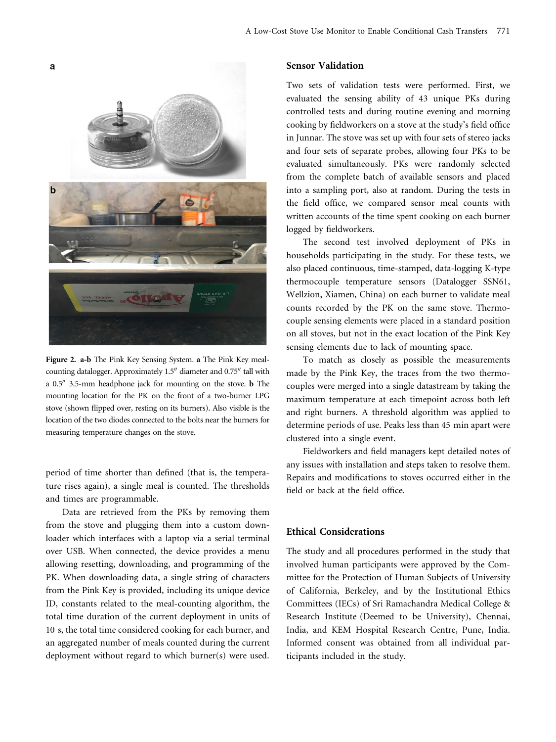<span id="page-3-0"></span>

Figure 2. a-b The Pink Key Sensing System. a The Pink Key mealcounting datalogger. Approximately 1.5" diameter and 0.75" tall with a  $0.5$ <sup> $\prime\prime$ </sup> 3.5-mm headphone jack for mounting on the stove. **b** The mounting location for the PK on the front of a two-burner LPG stove (shown flipped over, resting on its burners). Also visible is the location of the two diodes connected to the bolts near the burners for measuring temperature changes on the stove.

period of time shorter than defined (that is, the temperature rises again), a single meal is counted. The thresholds and times are programmable.

Data are retrieved from the PKs by removing them from the stove and plugging them into a custom downloader which interfaces with a laptop via a serial terminal over USB. When connected, the device provides a menu allowing resetting, downloading, and programming of the PK. When downloading data, a single string of characters from the Pink Key is provided, including its unique device ID, constants related to the meal-counting algorithm, the total time duration of the current deployment in units of 10 s, the total time considered cooking for each burner, and an aggregated number of meals counted during the current deployment without regard to which burner(s) were used.

### Sensor Validation

Two sets of validation tests were performed. First, we evaluated the sensing ability of 43 unique PKs during controlled tests and during routine evening and morning cooking by fieldworkers on a stove at the study's field office in Junnar. The stove was set up with four sets of stereo jacks and four sets of separate probes, allowing four PKs to be evaluated simultaneously. PKs were randomly selected from the complete batch of available sensors and placed into a sampling port, also at random. During the tests in the field office, we compared sensor meal counts with written accounts of the time spent cooking on each burner logged by fieldworkers.

The second test involved deployment of PKs in households participating in the study. For these tests, we also placed continuous, time-stamped, data-logging K-type thermocouple temperature sensors (Datalogger SSN61, Wellzion, Xiamen, China) on each burner to validate meal counts recorded by the PK on the same stove. Thermocouple sensing elements were placed in a standard position on all stoves, but not in the exact location of the Pink Key sensing elements due to lack of mounting space.

To match as closely as possible the measurements made by the Pink Key, the traces from the two thermocouples were merged into a single datastream by taking the maximum temperature at each timepoint across both left and right burners. A threshold algorithm was applied to determine periods of use. Peaks less than 45 min apart were clustered into a single event.

Fieldworkers and field managers kept detailed notes of any issues with installation and steps taken to resolve them. Repairs and modifications to stoves occurred either in the field or back at the field office.

## Ethical Considerations

The study and all procedures performed in the study that involved human participants were approved by the Committee for the Protection of Human Subjects of University of California, Berkeley, and by the Institutional Ethics Committees (IECs) of Sri Ramachandra Medical College & Research Institute (Deemed to be University), Chennai, India, and KEM Hospital Research Centre, Pune, India. Informed consent was obtained from all individual participants included in the study.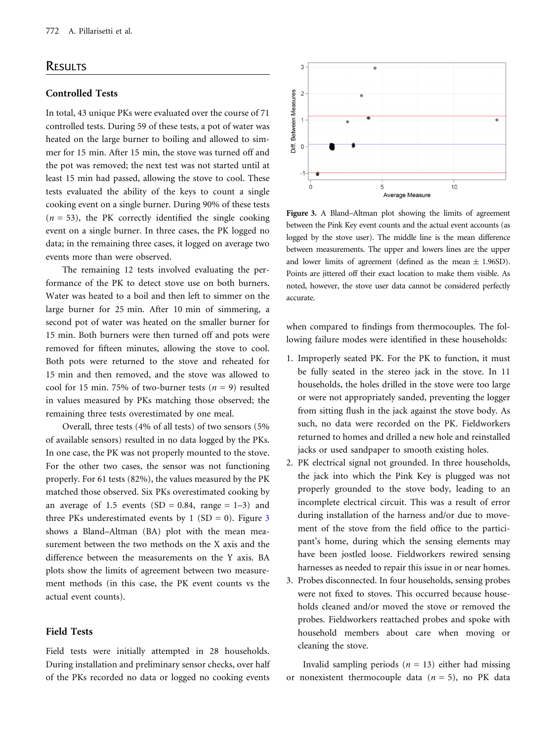## **RESULTS**

## Controlled Tests

In total, 43 unique PKs were evaluated over the course of 71 controlled tests. During 59 of these tests, a pot of water was heated on the large burner to boiling and allowed to simmer for 15 min. After 15 min, the stove was turned off and the pot was removed; the next test was not started until at least 15 min had passed, allowing the stove to cool. These tests evaluated the ability of the keys to count a single cooking event on a single burner. During 90% of these tests  $(n = 53)$ , the PK correctly identified the single cooking event on a single burner. In three cases, the PK logged no data; in the remaining three cases, it logged on average two events more than were observed.

The remaining 12 tests involved evaluating the performance of the PK to detect stove use on both burners. Water was heated to a boil and then left to simmer on the large burner for 25 min. After 10 min of simmering, a second pot of water was heated on the smaller burner for 15 min. Both burners were then turned off and pots were removed for fifteen minutes, allowing the stove to cool. Both pots were returned to the stove and reheated for 15 min and then removed, and the stove was allowed to cool for 15 min. 75% of two-burner tests ( $n = 9$ ) resulted in values measured by PKs matching those observed; the remaining three tests overestimated by one meal.

Overall, three tests (4% of all tests) of two sensors (5% of available sensors) resulted in no data logged by the PKs. In one case, the PK was not properly mounted to the stove. For the other two cases, the sensor was not functioning properly. For 61 tests (82%), the values measured by the PK matched those observed. Six PKs overestimated cooking by an average of 1.5 events  $(SD = 0.84, \text{ range} = 1-3)$  and three PKs underestimated events by 1 (SD = 0). Figure  $3$ shows a Bland–Altman (BA) plot with the mean measurement between the two methods on the X axis and the difference between the measurements on the Y axis. BA plots show the limits of agreement between two measurement methods (in this case, the PK event counts vs the actual event counts).

## Field Tests

Field tests were initially attempted in 28 households. During installation and preliminary sensor checks, over half of the PKs recorded no data or logged no cooking events



Figure 3. A Bland–Altman plot showing the limits of agreement between the Pink Key event counts and the actual event accounts (as logged by the stove user). The middle line is the mean difference between measurements. The upper and lowers lines are the upper and lower limits of agreement (defined as the mean  $\pm$  1.96SD). Points are jittered off their exact location to make them visible. As noted, however, the stove user data cannot be considered perfectly accurate.

when compared to findings from thermocouples. The following failure modes were identified in these households:

- 1. Improperly seated PK. For the PK to function, it must be fully seated in the stereo jack in the stove. In 11 households, the holes drilled in the stove were too large or were not appropriately sanded, preventing the logger from sitting flush in the jack against the stove body. As such, no data were recorded on the PK. Fieldworkers returned to homes and drilled a new hole and reinstalled jacks or used sandpaper to smooth existing holes.
- 2. PK electrical signal not grounded. In three households, the jack into which the Pink Key is plugged was not properly grounded to the stove body, leading to an incomplete electrical circuit. This was a result of error during installation of the harness and/or due to movement of the stove from the field office to the participant's home, during which the sensing elements may have been jostled loose. Fieldworkers rewired sensing harnesses as needed to repair this issue in or near homes.
- 3. Probes disconnected. In four households, sensing probes were not fixed to stoves. This occurred because households cleaned and/or moved the stove or removed the probes. Fieldworkers reattached probes and spoke with household members about care when moving or cleaning the stove.

Invalid sampling periods  $(n = 13)$  either had missing or nonexistent thermocouple data  $(n = 5)$ , no PK data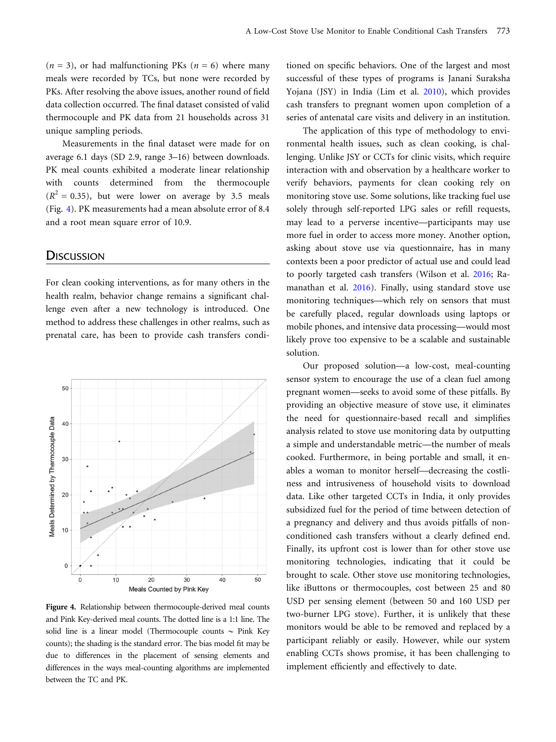$(n = 3)$ , or had malfunctioning PKs  $(n = 6)$  where many meals were recorded by TCs, but none were recorded by PKs. After resolving the above issues, another round of field data collection occurred. The final dataset consisted of valid thermocouple and PK data from 21 households across 31 unique sampling periods.

Measurements in the final dataset were made for on average 6.1 days (SD 2.9, range 3–16) between downloads. PK meal counts exhibited a moderate linear relationship with counts determined from the thermocouple  $(R<sup>2</sup> = 0.35)$ , but were lower on average by 3.5 meals (Fig. 4). PK measurements had a mean absolute error of 8.4 and a root mean square error of 10.9.

## **DISCUSSION**

For clean cooking interventions, as for many others in the health realm, behavior change remains a significant challenge even after a new technology is introduced. One method to address these challenges in other realms, such as prenatal care, has been to provide cash transfers condi-



Figure 4. Relationship between thermocouple-derived meal counts and Pink Key-derived meal counts. The dotted line is a 1:1 line. The solid line is a linear model (Thermocouple counts  $\sim$  Pink Key counts); the shading is the standard error. The bias model fit may be due to differences in the placement of sensing elements and differences in the ways meal-counting algorithms are implemented between the TC and PK.

tioned on specific behaviors. One of the largest and most successful of these types of programs is Janani Suraksha Yojana (JSY) in India (Lim et al. [2010](#page-8-0)), which provides cash transfers to pregnant women upon completion of a series of antenatal care visits and delivery in an institution.

The application of this type of methodology to environmental health issues, such as clean cooking, is challenging. Unlike JSY or CCTs for clinic visits, which require interaction with and observation by a healthcare worker to verify behaviors, payments for clean cooking rely on monitoring stove use. Some solutions, like tracking fuel use solely through self-reported LPG sales or refill requests, may lead to a perverse incentive—participants may use more fuel in order to access more money. Another option, asking about stove use via questionnaire, has in many contexts been a poor predictor of actual use and could lead to poorly targeted cash transfers (Wilson et al. [2016](#page-8-0); Ramanathan et al. [2016](#page-8-0)). Finally, using standard stove use monitoring techniques—which rely on sensors that must be carefully placed, regular downloads using laptops or mobile phones, and intensive data processing—would most likely prove too expensive to be a scalable and sustainable solution.

Our proposed solution—a low-cost, meal-counting sensor system to encourage the use of a clean fuel among pregnant women—seeks to avoid some of these pitfalls. By providing an objective measure of stove use, it eliminates the need for questionnaire-based recall and simplifies analysis related to stove use monitoring data by outputting a simple and understandable metric—the number of meals cooked. Furthermore, in being portable and small, it enables a woman to monitor herself—decreasing the costliness and intrusiveness of household visits to download data. Like other targeted CCTs in India, it only provides subsidized fuel for the period of time between detection of a pregnancy and delivery and thus avoids pitfalls of nonconditioned cash transfers without a clearly defined end. Finally, its upfront cost is lower than for other stove use monitoring technologies, indicating that it could be brought to scale. Other stove use monitoring technologies, like iButtons or thermocouples, cost between 25 and 80 USD per sensing element (between 50 and 160 USD per two-burner LPG stove). Further, it is unlikely that these monitors would be able to be removed and replaced by a participant reliably or easily. However, while our system enabling CCTs shows promise, it has been challenging to implement efficiently and effectively to date.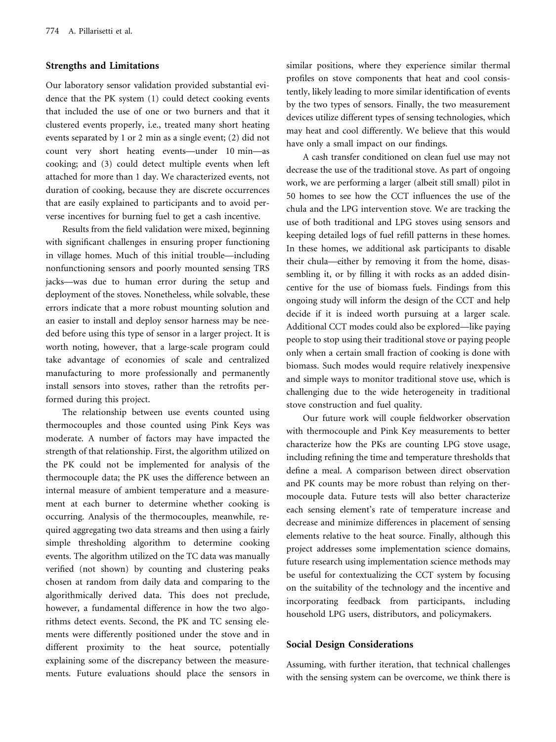### Strengths and Limitations

Our laboratory sensor validation provided substantial evidence that the PK system (1) could detect cooking events that included the use of one or two burners and that it clustered events properly, i.e., treated many short heating events separated by 1 or 2 min as a single event; (2) did not count very short heating events—under 10 min—as cooking; and (3) could detect multiple events when left attached for more than 1 day. We characterized events, not duration of cooking, because they are discrete occurrences that are easily explained to participants and to avoid perverse incentives for burning fuel to get a cash incentive.

Results from the field validation were mixed, beginning with significant challenges in ensuring proper functioning in village homes. Much of this initial trouble—including nonfunctioning sensors and poorly mounted sensing TRS jacks—was due to human error during the setup and deployment of the stoves. Nonetheless, while solvable, these errors indicate that a more robust mounting solution and an easier to install and deploy sensor harness may be needed before using this type of sensor in a larger project. It is worth noting, however, that a large-scale program could take advantage of economies of scale and centralized manufacturing to more professionally and permanently install sensors into stoves, rather than the retrofits performed during this project.

The relationship between use events counted using thermocouples and those counted using Pink Keys was moderate. A number of factors may have impacted the strength of that relationship. First, the algorithm utilized on the PK could not be implemented for analysis of the thermocouple data; the PK uses the difference between an internal measure of ambient temperature and a measurement at each burner to determine whether cooking is occurring. Analysis of the thermocouples, meanwhile, required aggregating two data streams and then using a fairly simple thresholding algorithm to determine cooking events. The algorithm utilized on the TC data was manually verified (not shown) by counting and clustering peaks chosen at random from daily data and comparing to the algorithmically derived data. This does not preclude, however, a fundamental difference in how the two algorithms detect events. Second, the PK and TC sensing elements were differently positioned under the stove and in different proximity to the heat source, potentially explaining some of the discrepancy between the measurements. Future evaluations should place the sensors in

similar positions, where they experience similar thermal profiles on stove components that heat and cool consistently, likely leading to more similar identification of events by the two types of sensors. Finally, the two measurement devices utilize different types of sensing technologies, which may heat and cool differently. We believe that this would have only a small impact on our findings.

A cash transfer conditioned on clean fuel use may not decrease the use of the traditional stove. As part of ongoing work, we are performing a larger (albeit still small) pilot in 50 homes to see how the CCT influences the use of the chula and the LPG intervention stove. We are tracking the use of both traditional and LPG stoves using sensors and keeping detailed logs of fuel refill patterns in these homes. In these homes, we additional ask participants to disable their chula—either by removing it from the home, disassembling it, or by filling it with rocks as an added disincentive for the use of biomass fuels. Findings from this ongoing study will inform the design of the CCT and help decide if it is indeed worth pursuing at a larger scale. Additional CCT modes could also be explored—like paying people to stop using their traditional stove or paying people only when a certain small fraction of cooking is done with biomass. Such modes would require relatively inexpensive and simple ways to monitor traditional stove use, which is challenging due to the wide heterogeneity in traditional stove construction and fuel quality.

Our future work will couple fieldworker observation with thermocouple and Pink Key measurements to better characterize how the PKs are counting LPG stove usage, including refining the time and temperature thresholds that define a meal. A comparison between direct observation and PK counts may be more robust than relying on thermocouple data. Future tests will also better characterize each sensing element's rate of temperature increase and decrease and minimize differences in placement of sensing elements relative to the heat source. Finally, although this project addresses some implementation science domains, future research using implementation science methods may be useful for contextualizing the CCT system by focusing on the suitability of the technology and the incentive and incorporating feedback from participants, including household LPG users, distributors, and policymakers.

## Social Design Considerations

Assuming, with further iteration, that technical challenges with the sensing system can be overcome, we think there is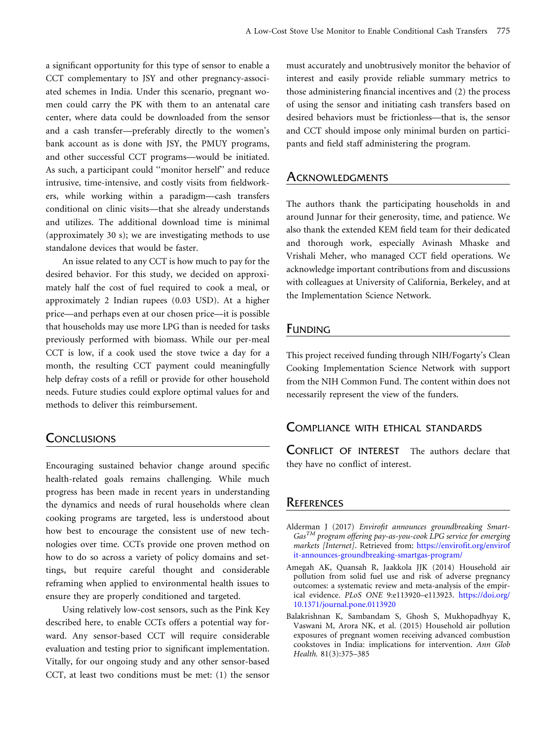<span id="page-7-0"></span>a significant opportunity for this type of sensor to enable a CCT complementary to JSY and other pregnancy-associated schemes in India. Under this scenario, pregnant women could carry the PK with them to an antenatal care center, where data could be downloaded from the sensor and a cash transfer—preferably directly to the women's bank account as is done with JSY, the PMUY programs, and other successful CCT programs—would be initiated. As such, a participant could ''monitor herself'' and reduce intrusive, time-intensive, and costly visits from fieldworkers, while working within a paradigm—cash transfers conditional on clinic visits—that she already understands and utilizes. The additional download time is minimal (approximately 30 s); we are investigating methods to use standalone devices that would be faster.

An issue related to any CCT is how much to pay for the desired behavior. For this study, we decided on approximately half the cost of fuel required to cook a meal, or approximately 2 Indian rupees (0.03 USD). At a higher price—and perhaps even at our chosen price—it is possible that households may use more LPG than is needed for tasks previously performed with biomass. While our per-meal CCT is low, if a cook used the stove twice a day for a month, the resulting CCT payment could meaningfully help defray costs of a refill or provide for other household needs. Future studies could explore optimal values for and methods to deliver this reimbursement.

## **CONCLUSIONS**

Encouraging sustained behavior change around specific health-related goals remains challenging. While much progress has been made in recent years in understanding the dynamics and needs of rural households where clean cooking programs are targeted, less is understood about how best to encourage the consistent use of new technologies over time. CCTs provide one proven method on how to do so across a variety of policy domains and settings, but require careful thought and considerable reframing when applied to environmental health issues to ensure they are properly conditioned and targeted.

Using relatively low-cost sensors, such as the Pink Key described here, to enable CCTs offers a potential way forward. Any sensor-based CCT will require considerable evaluation and testing prior to significant implementation. Vitally, for our ongoing study and any other sensor-based CCT, at least two conditions must be met: (1) the sensor must accurately and unobtrusively monitor the behavior of interest and easily provide reliable summary metrics to those administering financial incentives and (2) the process of using the sensor and initiating cash transfers based on desired behaviors must be frictionless—that is, the sensor and CCT should impose only minimal burden on participants and field staff administering the program.

## **ACKNOWLEDGMENTS**

The authors thank the participating households in and around Junnar for their generosity, time, and patience. We also thank the extended KEM field team for their dedicated and thorough work, especially Avinash Mhaske and Vrishali Meher, who managed CCT field operations. We acknowledge important contributions from and discussions with colleagues at University of California, Berkeley, and at the Implementation Science Network.

## FUNDING

This project received funding through NIH/Fogarty's Clean Cooking Implementation Science Network with support from the NIH Common Fund. The content within does not necessarily represent the view of the funders.

## COMPLIANCE WITH ETHICAL STANDARDS

CONFLICT OF INTEREST The authors declare that they have no conflict of interest.

### **REFERENCES**

- Alderman J (2017) Envirofit announces groundbreaking Smart- $Gas^{TM}$  program offering pay-as-you-cook LPG service for emerging markets [Internet]. Retrieved from: [https://envirofit.org/envirof](https://envirofit.org/envirofit-announces-groundbreaking-smartgas-program/) [it-announces-groundbreaking-smartgas-program/](https://envirofit.org/envirofit-announces-groundbreaking-smartgas-program/)
- Amegah AK, Quansah R, Jaakkola JJK (2014) Household air pollution from solid fuel use and risk of adverse pregnancy outcomes: a systematic review and meta-analysis of the empirical evidence. PLoS ONE 9:e113920–e113923. [https://doi.org/](https://doi.org/10.1371/journal.pone.0113920) [10.1371/journal.pone.0113920](https://doi.org/10.1371/journal.pone.0113920)
- Balakrishnan K, Sambandam S, Ghosh S, Mukhopadhyay K, Vaswani M, Arora NK, et al. (2015) Household air pollution exposures of pregnant women receiving advanced combustion cookstoves in India: implications for intervention. Ann Glob Health. 81(3):375–385